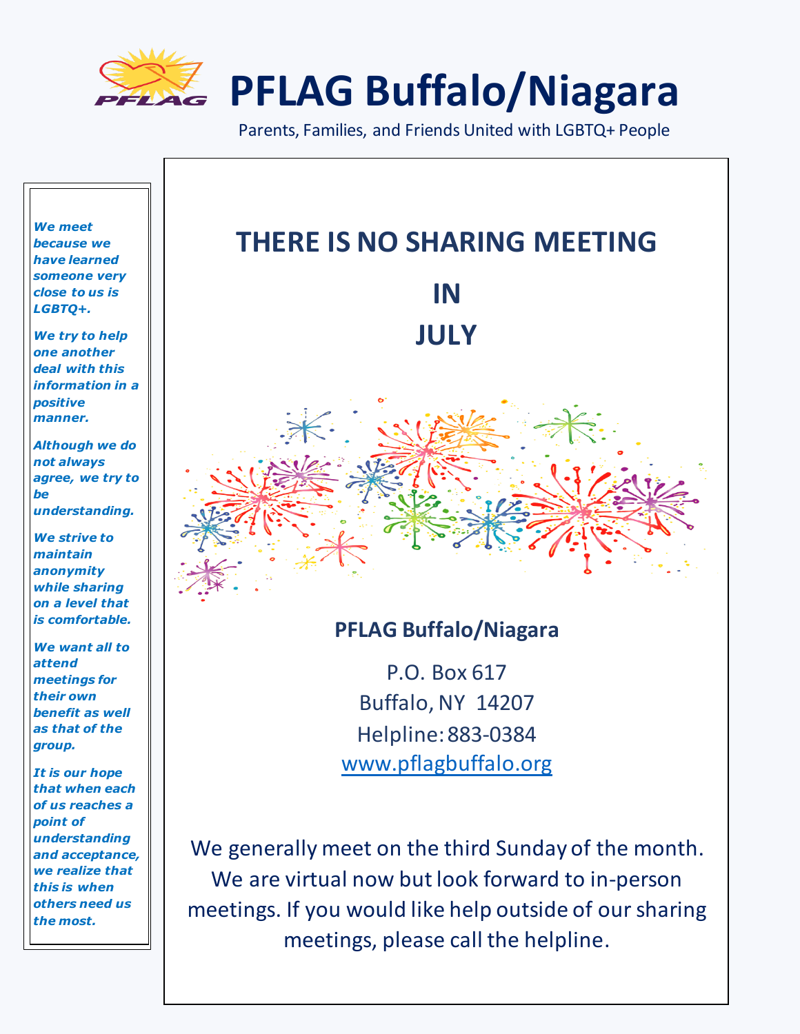

**PFLAG Buffalo/Niagara**

Parents, Families, and Friends United with LGBTQ+ People



We are virtual now but look forward to in-person

meetings. If you would like help outside of our sharing

meetings, please call the helpline.

*we realize that this is when others need us the most.*